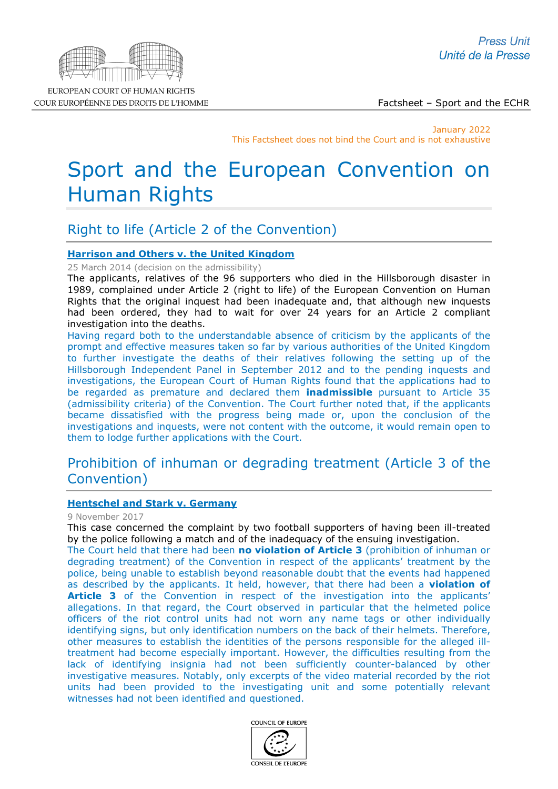

EUROPEAN COURT OF HUMAN RIGHTS COUR EUROPÉENNE DES DROITS DE L'HOMME

Factsheet – Sport and the ECHR

January 2022 This Factsheet does not bind the Court and is not exhaustive

# Sport and the European Convention on Human Rights

# Right to life (Article 2 of the Convention)

# **[Harrison and Others v. the United Kingdom](http://hudoc.echr.coe.int/eng?i=002-9357)**

25 March 2014 (decision on the admissibility)

The applicants, relatives of the 96 supporters who died in the Hillsborough disaster in 1989, complained under Article 2 (right to life) of the European Convention on Human Rights that the original inquest had been inadequate and, that although new inquests had been ordered, they had to wait for over 24 years for an Article 2 compliant investigation into the deaths.

Having regard both to the understandable absence of criticism by the applicants of the prompt and effective measures taken so far by various authorities of the United Kingdom to further investigate the deaths of their relatives following the setting up of the Hillsborough Independent Panel in September 2012 and to the pending inquests and investigations, the European Court of Human Rights found that the applications had to be regarded as premature and declared them **inadmissible** pursuant to Article 35 (admissibility criteria) of the Convention. The Court further noted that, if the applicants became dissatisfied with the progress being made or, upon the conclusion of the investigations and inquests, were not content with the outcome, it would remain open to them to lodge further applications with the Court.

# Prohibition of inhuman or degrading treatment (Article 3 of the Convention)

# **[Hentschel and Stark v. Germany](http://hudoc.echr.coe.int/eng-press?i=003-5910463-7542988)**

9 November 2017

This case concerned the complaint by two football supporters of having been ill-treated by the police following a match and of the inadequacy of the ensuing investigation.

The Court held that there had been **no violation of Article 3** (prohibition of inhuman or degrading treatment) of the Convention in respect of the applicants' treatment by the police, being unable to establish beyond reasonable doubt that the events had happened as described by the applicants. It held, however, that there had been a **violation of**  Article 3 of the Convention in respect of the investigation into the applicants' allegations. In that regard, the Court observed in particular that the helmeted police officers of the riot control units had not worn any name tags or other individually identifying signs, but only identification numbers on the back of their helmets. Therefore, other measures to establish the identities of the persons responsible for the alleged illtreatment had become especially important. However, the difficulties resulting from the lack of identifying insignia had not been sufficiently counter-balanced by other investigative measures. Notably, only excerpts of the video material recorded by the riot units had been provided to the investigating unit and some potentially relevant witnesses had not been identified and questioned.

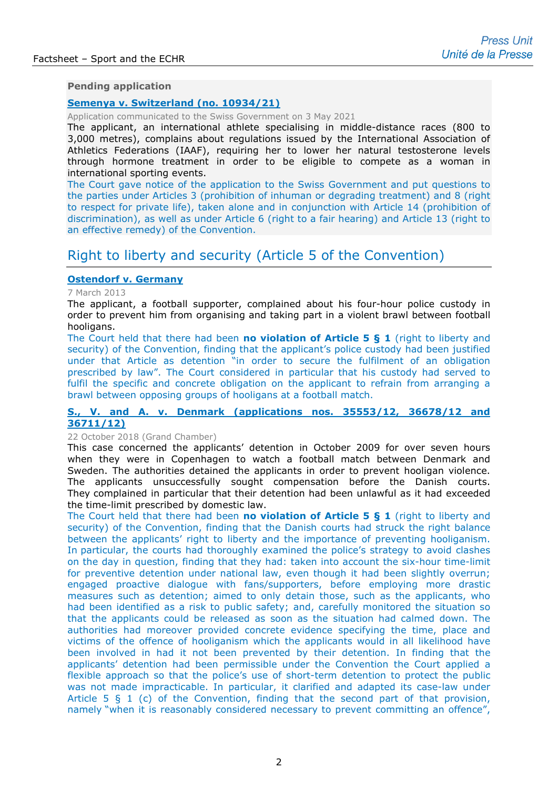#### **Pending application**

### **[Semenya v. Switzerland \(no. 10934/21\)](http://hudoc.echr.coe.int/eng?i=003-7021287-9471834)**

Application communicated to the Swiss Government on 3 May 2021

The applicant, an international athlete specialising in middle-distance races (800 to 3,000 metres), complains about regulations issued by the International Association of Athletics Federations (IAAF), requiring her to lower her natural testosterone levels through hormone treatment in order to be eligible to compete as a woman in international sporting events.

The Court gave notice of the application to the Swiss Government and put questions to the parties under Articles 3 (prohibition of inhuman or degrading treatment) and 8 (right to respect for private life), taken alone and in conjunction with Article 14 (prohibition of discrimination), as well as under Article 6 (right to a fair hearing) and Article 13 (right to an effective remedy) of the Convention.

# Right to liberty and security (Article 5 of the Convention)

# **[Ostendorf v. Germany](http://hudoc.echr.coe.int/eng-press?i=003-4282482-5111626)**

7 March 2013

The applicant, a football supporter, complained about his four-hour police custody in order to prevent him from organising and taking part in a violent brawl between football hooligans.

The Court held that there had been **no violation of Article 5 § 1** (right to liberty and security) of the Convention, finding that the applicant's police custody had been justified under that Article as detention "in order to secure the fulfilment of an obligation prescribed by law". The Court considered in particular that his custody had served to fulfil the specific and concrete obligation on the applicant to refrain from arranging a brawl between opposing groups of hooligans at a football match.

### **S., V. and A. v. Denmark (applications nos. [35553/12, 36678/12](http://hudoc.echr.coe.int/eng-press?i=003-6231634-8099210) and [36711/12\)](http://hudoc.echr.coe.int/eng-press?i=003-6231634-8099210)**

#### 22 October 2018 (Grand Chamber)

This case concerned the applicants' detention in October 2009 for over seven hours when they were in Copenhagen to watch a football match between Denmark and Sweden. The authorities detained the applicants in order to prevent hooligan violence. The applicants unsuccessfully sought compensation before the Danish courts. They complained in particular that their detention had been unlawful as it had exceeded the time-limit prescribed by domestic law.

The Court held that there had been **no violation of Article 5 § 1** (right to liberty and security) of the Convention, finding that the Danish courts had struck the right balance between the applicants' right to liberty and the importance of preventing hooliganism. In particular, the courts had thoroughly examined the police's strategy to avoid clashes on the day in question, finding that they had: taken into account the six-hour time-limit for preventive detention under national law, even though it had been slightly overrun; engaged proactive dialogue with fans/supporters, before employing more drastic measures such as detention; aimed to only detain those, such as the applicants, who had been identified as a risk to public safety; and, carefully monitored the situation so that the applicants could be released as soon as the situation had calmed down. The authorities had moreover provided concrete evidence specifying the time, place and victims of the offence of hooliganism which the applicants would in all likelihood have been involved in had it not been prevented by their detention. In finding that the applicants' detention had been permissible under the Convention the Court applied a flexible approach so that the police's use of short-term detention to protect the public was not made impracticable. In particular, it clarified and adapted its case-law under Article 5 § 1 (c) of the Convention, finding that the second part of that provision, namely "when it is reasonably considered necessary to prevent committing an offence",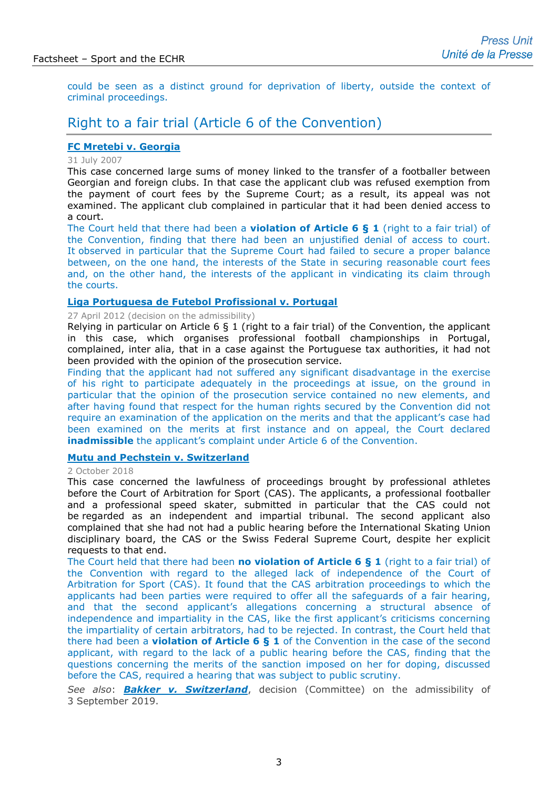could be seen as a distinct ground for deprivation of liberty, outside the context of criminal proceedings.

# Right to a fair trial (Article 6 of the Convention)

# **[FC Mretebi v. Georgia](http://hudoc.echr.coe.int/eng?i=001-81996)**

#### 31 July 2007

This case concerned large sums of money linked to the transfer of a footballer between Georgian and foreign clubs. In that case the applicant club was refused exemption from the payment of court fees by the Supreme Court; as a result, its appeal was not examined. The applicant club complained in particular that it had been denied access to a court.

The Court held that there had been a **violation of Article 6 § 1** (right to a fair trial) of the Convention, finding that there had been an unjustified denial of access to court. It observed in particular that the Supreme Court had failed to secure a proper balance between, on the one hand, the interests of the State in securing reasonable court fees and, on the other hand, the interests of the applicant in vindicating its claim through the courts.

#### **[Liga Portuguesa de Futebol Profissional v. Portugal](http://hudoc.echr.coe.int/eng-press?i=003-3929953-4544958)**

#### 27 April 2012 (decision on the admissibility)

Relying in particular on Article 6 § 1 (right to a fair trial) of the Convention, the applicant in this case, which organises professional football championships in Portugal, complained, inter alia, that in a case against the Portuguese tax authorities, it had not been provided with the opinion of the prosecution service.

Finding that the applicant had not suffered any significant disadvantage in the exercise of his right to participate adequately in the proceedings at issue, on the ground in particular that the opinion of the prosecution service contained no new elements, and after having found that respect for the human rights secured by the Convention did not require an examination of the application on the merits and that the applicant's case had been examined on the merits at first instance and on appeal, the Court declared **inadmissible** the applicant's complaint under Article 6 of the Convention.

#### **[Mutu and Pechstein v. Switzerland](http://hudoc.echr.coe.int/eng-press?i=003-6207200-8059022)**

2 October 2018

This case concerned the lawfulness of proceedings brought by professional athletes before the Court of Arbitration for Sport (CAS). The applicants, a professional footballer and a professional speed skater, submitted in particular that the CAS could not be regarded as an independent and impartial tribunal. The second applicant also complained that she had not had a public hearing before the International Skating Union disciplinary board, the CAS or the Swiss Federal Supreme Court, despite her explicit requests to that end.

The Court held that there had been **no violation of Article 6 § 1** (right to a fair trial) of the Convention with regard to the alleged lack of independence of the Court of Arbitration for Sport (CAS). It found that the CAS arbitration proceedings to which the applicants had been parties were required to offer all the safeguards of a fair hearing, and that the second applicant's allegations concerning a structural absence of independence and impartiality in the CAS, like the first applicant's criticisms concerning the impartiality of certain arbitrators, had to be rejected. In contrast, the Court held that there had been a **violation of Article 6 § 1** of the Convention in the case of the second applicant, with regard to the lack of a public hearing before the CAS, finding that the questions concerning the merits of the sanction imposed on her for doping, discussed before the CAS, required a hearing that was subject to public scrutiny.

*See also*: *[Bakker v. Switzerland](http://hudoc.echr.coe.int/eng?i=001-196440)*, decision (Committee) on the admissibility of 3 September 2019.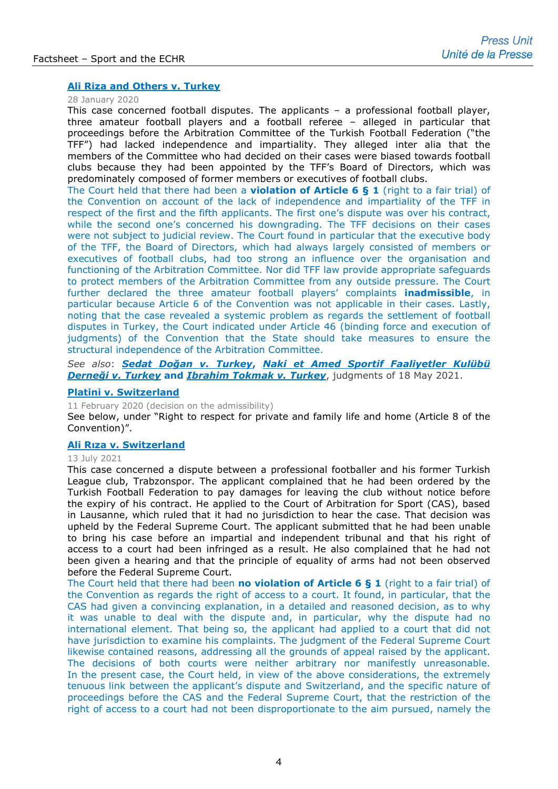# **[Ali Riza and Others v. Turkey](http://hudoc.echr.coe.int/eng-press?i=003-6622299-8788049)**

#### 28 January 2020

This case concerned football disputes. The applicants – a professional football player, three amateur football players and a football referee – alleged in particular that proceedings before the Arbitration Committee of the Turkish Football Federation ("the TFF") had lacked independence and impartiality. They alleged inter alia that the members of the Committee who had decided on their cases were biased towards football clubs because they had been appointed by the TFF's Board of Directors, which was predominately composed of former members or executives of football clubs.

The Court held that there had been a **violation of Article 6 § 1** (right to a fair trial) of the Convention on account of the lack of independence and impartiality of the TFF in respect of the first and the fifth applicants. The first one's dispute was over his contract, while the second one's concerned his downgrading. The TFF decisions on their cases were not subject to judicial review. The Court found in particular that the executive body of the TFF, the Board of Directors, which had always largely consisted of members or executives of football clubs, had too strong an influence over the organisation and functioning of the Arbitration Committee. Nor did TFF law provide appropriate safeguards to protect members of the Arbitration Committee from any outside pressure. The Court further declared the three amateur football players' complaints **inadmissible**, in particular because Article 6 of the Convention was not applicable in their cases. Lastly, noting that the case revealed a systemic problem as regards the settlement of football disputes in Turkey, the Court indicated under Article 46 (binding force and execution of judgments) of the Convention that the State should take measures to ensure the structural independence of the Arbitration Committee.

*See also*: *Sedat Doğan v. Turkey***,** *[Naki et Amed Sportif Faaliyetler Kulübü](http://hudoc.echr.coe.int/eng-press?i=003-7022518-9473785)  Derneği v. Turkey* **and** *[Ibrahim Tokmak v. Turkey](http://hudoc.echr.coe.int/eng-press?i=003-7022518-9473785)*, judgments of 18 May 2021.

#### **[Platini v. Switzerland](http://hudoc.echr.coe.int/eng-press?i=003-6657864-8849494)**

11 February 2020 (decision on the admissibility)

See below, under "Right to respect for private and family life and home (Article 8 of the Convention)".

#### **[Ali Rıza v. Switzerland](http://hudoc.echr.coe.int/eng-press?i=003-7078737-9570367)**

### 13 July 2021

This case concerned a dispute between a professional footballer and his former Turkish League club, Trabzonspor. The applicant complained that he had been ordered by the Turkish Football Federation to pay damages for leaving the club without notice before the expiry of his contract. He applied to the Court of Arbitration for Sport (CAS), based in Lausanne, which ruled that it had no jurisdiction to hear the case. That decision was upheld by the Federal Supreme Court. The applicant submitted that he had been unable to bring his case before an impartial and independent tribunal and that his right of access to a court had been infringed as a result. He also complained that he had not been given a hearing and that the principle of equality of arms had not been observed before the Federal Supreme Court.

The Court held that there had been **no violation of Article 6 § 1** (right to a fair trial) of the Convention as regards the right of access to a court. It found, in particular, that the CAS had given a convincing explanation, in a detailed and reasoned decision, as to why it was unable to deal with the dispute and, in particular, why the dispute had no international element. That being so, the applicant had applied to a court that did not have jurisdiction to examine his complaints. The judgment of the Federal Supreme Court likewise contained reasons, addressing all the grounds of appeal raised by the applicant. The decisions of both courts were neither arbitrary nor manifestly unreasonable. In the present case, the Court held, in view of the above considerations, the extremely tenuous link between the applicant's dispute and Switzerland, and the specific nature of proceedings before the CAS and the Federal Supreme Court, that the restriction of the right of access to a court had not been disproportionate to the aim pursued, namely the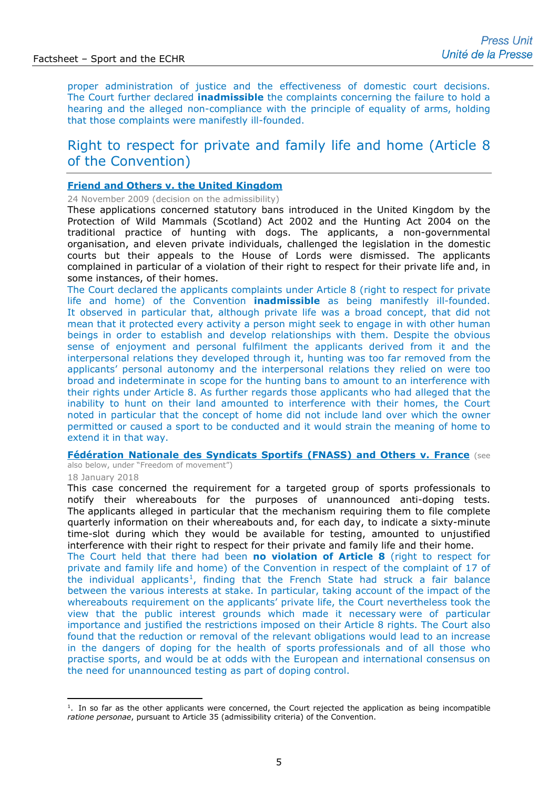proper administration of justice and the effectiveness of domestic court decisions. The Court further declared **inadmissible** the complaints concerning the failure to hold a hearing and the alleged non-compliance with the principle of equality of arms, holding that those complaints were manifestly ill-founded.

# Right to respect for private and family life and home (Article 8 of the Convention)

### **[Friend and Others v. the United Kingdom](http://hudoc.echr.coe.int/eng?i=002-1236)**

24 November 2009 (decision on the admissibility)

These applications concerned statutory bans introduced in the United Kingdom by the Protection of Wild Mammals (Scotland) Act 2002 and the Hunting Act 2004 on the traditional practice of hunting with dogs. The applicants, a non-governmental organisation, and eleven private individuals, challenged the legislation in the domestic courts but their appeals to the House of Lords were dismissed. The applicants complained in particular of a violation of their right to respect for their private life and, in some instances, of their homes.

The Court declared the applicants complaints under Article 8 (right to respect for private life and home) of the Convention **inadmissible** as being manifestly ill-founded. It observed in particular that, although private life was a broad concept, that did not mean that it protected every activity a person might seek to engage in with other human beings in order to establish and develop relationships with them. Despite the obvious sense of enjoyment and personal fulfilment the applicants derived from it and the interpersonal relations they developed through it, hunting was too far removed from the applicants' personal autonomy and the interpersonal relations they relied on were too broad and indeterminate in scope for the hunting bans to amount to an interference with their rights under Article 8. As further regards those applicants who had alleged that the inability to hunt on their land amounted to interference with their homes, the Court noted in particular that the concept of home did not include land over which the owner permitted or caused a sport to be conducted and it would strain the meaning of home to extend it in that way.

### **[Fédération Nationale des Syndicats Sportifs \(FNASS\) and Others v. France](http://hudoc.echr.coe.int/eng-press?i=003-5977677-7646084)** (see

also below, under "Freedom of movement")

#### 18 January 2018

This case concerned the requirement for a targeted group of sports professionals to notify their whereabouts for the purposes of unannounced anti-doping tests. The applicants alleged in particular that the mechanism requiring them to file complete quarterly information on their whereabouts and, for each day, to indicate a sixty-minute time-slot during which they would be available for testing, amounted to unjustified interference with their right to respect for their private and family life and their home.

The Court held that there had been **no violation of Article 8** (right to respect for private and family life and home) of the Convention in respect of the complaint of 17 of the individual applicants<sup>[1](#page-4-0)</sup>, finding that the French State had struck a fair balance between the various interests at stake. In particular, taking account of the impact of the whereabouts requirement on the applicants' private life, the Court nevertheless took the view that the public interest grounds which made it necessary were of particular importance and justified the restrictions imposed on their Article 8 rights. The Court also found that the reduction or removal of the relevant obligations would lead to an increase in the dangers of doping for the health of sports professionals and of all those who practise sports, and would be at odds with the European and international consensus on the need for unannounced testing as part of doping control.

<span id="page-4-0"></span> $1.$  In so far as the other applicants were concerned, the Court rejected the application as being incompatible *ratione personae*, pursuant to Article 35 (admissibility criteria) of the Convention.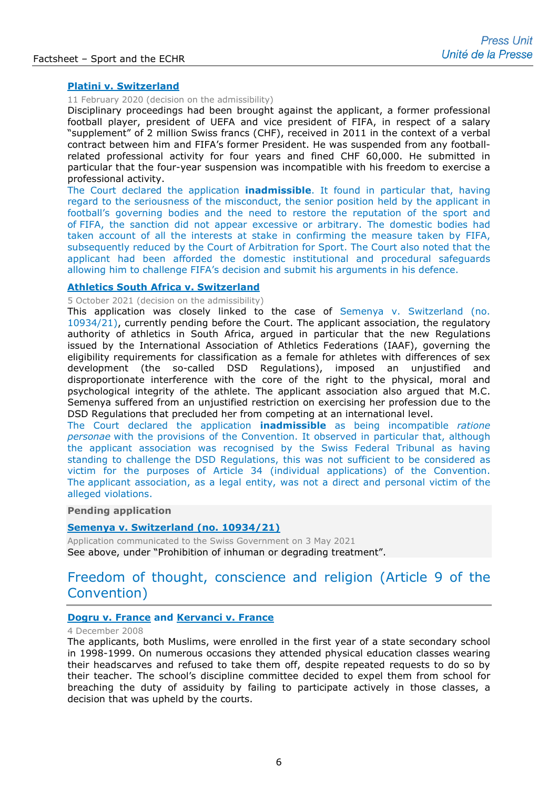# **[Platini v. Switzerland](http://hudoc.echr.coe.int/eng-press?i=003-6657864-8849494)**

# 11 February 2020 (decision on the admissibility)

Disciplinary proceedings had been brought against the applicant, a former professional football player, president of UEFA and vice president of FIFA, in respect of a salary "supplement" of 2 million Swiss francs (CHF), received in 2011 in the context of a verbal contract between him and FIFA's former President. He was suspended from any footballrelated professional activity for four years and fined CHF 60,000. He submitted in particular that the four-year suspension was incompatible with his freedom to exercise a professional activity.

The Court declared the application **inadmissible**. It found in particular that, having regard to the seriousness of the misconduct, the senior position held by the applicant in football's governing bodies and the need to restore the reputation of the sport and of FIFA, the sanction did not appear excessive or arbitrary. The domestic bodies had taken account of all the interests at stake in confirming the measure taken by FIFA, subsequently reduced by the Court of Arbitration for Sport. The Court also noted that the applicant had been afforded the domestic institutional and procedural safeguards allowing him to challenge FIFA's decision and submit his arguments in his defence.

#### **[Athletics South Africa v. Switzerland](http://hudoc.echr.coe.int/fre?i=001-213246)**

5 October 2021 (decision on the admissibility)

This application was closely linked to the case of [Semenya v. Switzerland \(no.](http://hudoc.echr.coe.int/eng?i=003-7021287-9471834)  [10934/21\),](http://hudoc.echr.coe.int/eng?i=003-7021287-9471834) currently pending before the Court. The applicant association, the regulatory authority of athletics in South Africa, argued in particular that the new Regulations issued by the International Association of Athletics Federations (IAAF), governing the eligibility requirements for classification as a female for athletes with differences of sex development (the so-called DSD Regulations), imposed an unjustified and disproportionate interference with the core of the right to the physical, moral and psychological integrity of the athlete. The applicant association also argued that M.C. Semenya suffered from an unjustified restriction on exercising her profession due to the DSD Regulations that precluded her from competing at an international level.

The Court declared the application **inadmissible** as being incompatible *ratione personae* with the provisions of the Convention. It observed in particular that, although the applicant association was recognised by the Swiss Federal Tribunal as having standing to challenge the DSD Regulations, this was not sufficient to be considered as victim for the purposes of Article 34 (individual applications) of the Convention. The applicant association, as a legal entity, was not a direct and personal victim of the alleged violations.

# **Pending application**

### **[Semenya v. Switzerland \(no. 10934/21\)](http://hudoc.echr.coe.int/eng?i=003-7021287-9471834)**

Application communicated to the Swiss Government on 3 May 2021 See above, under "Prohibition of inhuman or degrading treatment".

# Freedom of thought, conscience and religion (Article 9 of the Convention)

### **Dogru v. France [and Kervanci v. France](http://hudoc.echr.coe.int/sites/eng-press/pages/search.aspx?i=003-2569490-2781270)**

4 December 2008

The applicants, both Muslims, were enrolled in the first year of a state secondary school in 1998-1999. On numerous occasions they attended physical education classes wearing their headscarves and refused to take them off, despite repeated requests to do so by their teacher. The school's discipline committee decided to expel them from school for breaching the duty of assiduity by failing to participate actively in those classes, a decision that was upheld by the courts.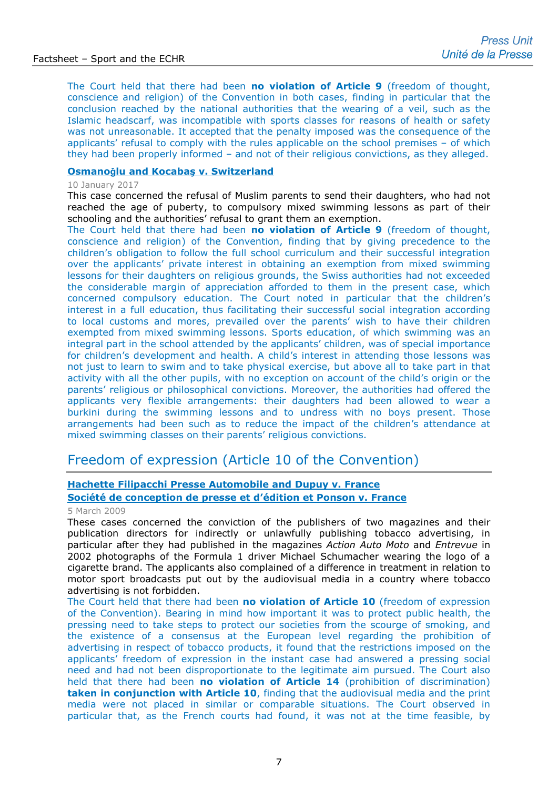The Court held that there had been **no violation of Article 9** (freedom of thought, conscience and religion) of the Convention in both cases, finding in particular that the conclusion reached by the national authorities that the wearing of a veil, such as the Islamic headscarf, was incompatible with sports classes for reasons of health or safety was not unreasonable. It accepted that the penalty imposed was the consequence of the applicants' refusal to comply with the rules applicable on the school premises – of which they had been properly informed – and not of their religious convictions, as they alleged.

# **Osmanoǧlu and Kocabaş [v. Switzerland](http://hudoc.echr.coe.int/eng-press?i=003-5592122-7062572)**

#### 10 January 2017

This case concerned the refusal of Muslim parents to send their daughters, who had not reached the age of puberty, to compulsory mixed swimming lessons as part of their schooling and the authorities' refusal to grant them an exemption.

The Court held that there had been **no violation of Article 9** (freedom of thought, conscience and religion) of the Convention, finding that by giving precedence to the children's obligation to follow the full school curriculum and their successful integration over the applicants' private interest in obtaining an exemption from mixed swimming lessons for their daughters on religious grounds, the Swiss authorities had not exceeded the considerable margin of appreciation afforded to them in the present case, which concerned compulsory education. The Court noted in particular that the children's interest in a full education, thus facilitating their successful social integration according to local customs and mores, prevailed over the parents' wish to have their children exempted from mixed swimming lessons. Sports education, of which swimming was an integral part in the school attended by the applicants' children, was of special importance for children's development and health. A child's interest in attending those lessons was not just to learn to swim and to take physical exercise, but above all to take part in that activity with all the other pupils, with no exception on account of the child's origin or the parents' religious or philosophical convictions. Moreover, the authorities had offered the applicants very flexible arrangements: their daughters had been allowed to wear a burkini during the swimming lessons and to undress with no boys present. Those arrangements had been such as to reduce the impact of the children's attendance at mixed swimming classes on their parents' religious convictions.

# Freedom of expression (Article 10 of the Convention)

# **[Hachette Filipacchi Presse Automobile and Dupuy v. France](http://hudoc.echr.coe.int/eng-press?i=003-2657405-2899610) [Société de conception de presse et d'édition](http://hudoc.echr.coe.int/eng-press?i=003-2657405-2899610) et Ponson v. France**

# 5 March 2009

These cases concerned the conviction of the publishers of two magazines and their publication directors for indirectly or unlawfully publishing tobacco advertising, in particular after they had published in the magazines *Action Auto Moto* and *Entrevue* in 2002 photographs of the Formula 1 driver Michael Schumacher wearing the logo of a cigarette brand. The applicants also complained of a difference in treatment in relation to motor sport broadcasts put out by the audiovisual media in a country where tobacco advertising is not forbidden.

The Court held that there had been **no violation of Article 10** (freedom of expression of the Convention). Bearing in mind how important it was to protect public health, the pressing need to take steps to protect our societies from the scourge of smoking, and the existence of a consensus at the European level regarding the prohibition of advertising in respect of tobacco products, it found that the restrictions imposed on the applicants' freedom of expression in the instant case had answered a pressing social need and had not been disproportionate to the legitimate aim pursued. The Court also held that there had been **no violation of Article 14** (prohibition of discrimination) **taken in conjunction with Article 10**, finding that the audiovisual media and the print media were not placed in similar or comparable situations. The Court observed in particular that, as the French courts had found, it was not at the time feasible, by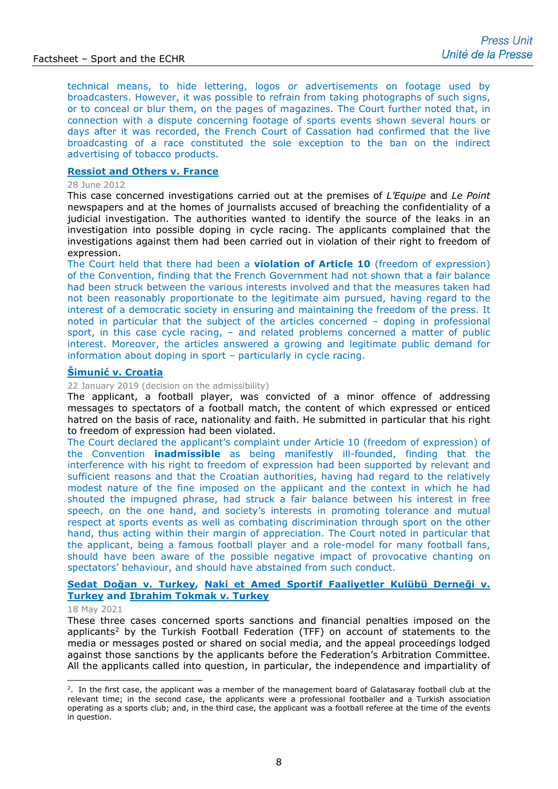technical means, to hide lettering, logos or advertisements on footage used by broadcasters. However, it was possible to refrain from taking photographs of such signs, or to conceal or blur them, on the pages of magazines. The Court further noted that, in connection with a dispute concerning footage of sports events shown several hours or days after it was recorded, the French Court of Cassation had confirmed that the live broadcasting of a race constituted the sole exception to the ban on the indirect advertising of tobacco products.

# **[Ressiot and Others v. France](http://hudoc.echr.coe.int/sites/eng-press/pages/search.aspx?i=003-4002892-4660808)**

#### 28 June 2012

This case concerned investigations carried out at the premises of *L'Equipe* and *Le Point* newspapers and at the homes of journalists accused of breaching the confidentiality of a judicial investigation. The authorities wanted to identify the source of the leaks in an investigation into possible doping in cycle racing. The applicants complained that the investigations against them had been carried out in violation of their right to freedom of expression.

The Court held that there had been a **violation of Article 10** (freedom of expression) of the Convention, finding that the French Government had not shown that a fair balance had been struck between the various interests involved and that the measures taken had not been reasonably proportionate to the legitimate aim pursued, having regard to the interest of a democratic society in ensuring and maintaining the freedom of the press. It noted in particular that the subject of the articles concerned – doping in professional sport, in this case cycle racing, – and related problems concerned a matter of public interest. Moreover, the articles answered a growing and legitimate public demand for information about doping in sport – particularly in cycle racing.

### **Šimunić [v. Croatia](http://hudoc.echr.coe.int/eng?i=002-12331)**

22 January 2019 (decision on the admissibility)

The applicant, a football player, was convicted of a minor offence of addressing messages to spectators of a football match, the content of which expressed or enticed hatred on the basis of race, nationality and faith. He submitted in particular that his right to freedom of expression had been violated.

The Court declared the applicant's complaint under Article 10 (freedom of expression) of the Convention **inadmissible** as being manifestly ill-founded, finding that the interference with his right to freedom of expression had been supported by relevant and sufficient reasons and that the Croatian authorities, having had regard to the relatively modest nature of the fine imposed on the applicant and the context in which he had shouted the impugned phrase, had struck a fair balance between his interest in free speech, on the one hand, and society's interests in promoting tolerance and mutual respect at sports events as well as combating discrimination through sport on the other hand, thus acting within their margin of appreciation. The Court noted in particular that the applicant, being a famous football player and a role-model for many football fans, should have been aware of the possible negative impact of provocative chanting on spectators' behaviour, and should have abstained from such conduct.

### **Sedat Doğan v. Turkey, [Naki et Amed Sportif Faaliyetler Kulübü Derneği v.](http://hudoc.echr.coe.int/eng-press?i=003-7022518-9473785)  Turkey [and Ibrahim Tokmak v. Turkey](http://hudoc.echr.coe.int/eng-press?i=003-7022518-9473785)**

#### 18 May 2021

These three cases concerned sports sanctions and financial penalties imposed on the applicants<sup>[2](#page-7-0)</sup> by the Turkish Football Federation (TFF) on account of statements to the media or messages posted or shared on social media, and the appeal proceedings lodged against those sanctions by the applicants before the Federation's Arbitration Committee. All the applicants called into question, in particular, the independence and impartiality of

<span id="page-7-0"></span><sup>&</sup>lt;sup>2</sup>. In the first case, the applicant was a member of the management board of Galatasaray football club at the relevant time; in the second case, the applicants were a professional footballer and a Turkish association operating as a sports club; and, in the third case, the applicant was a football referee at the time of the events in question.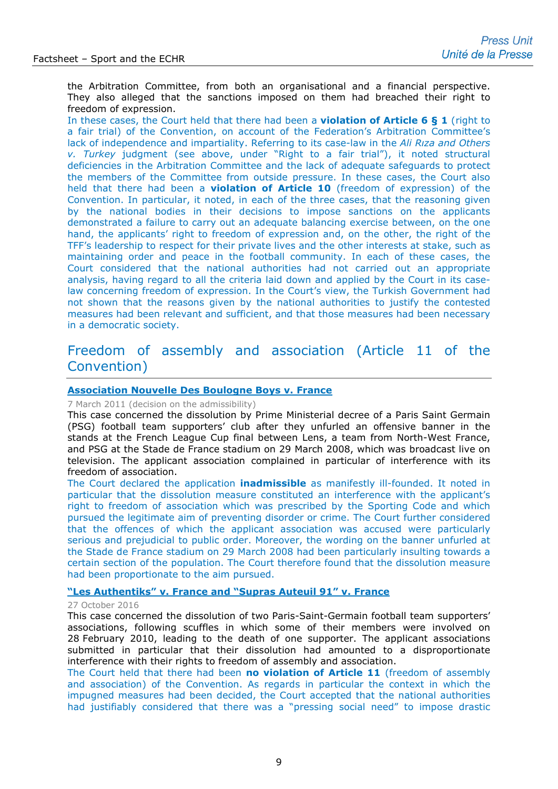the Arbitration Committee, from both an organisational and a financial perspective. They also alleged that the sanctions imposed on them had breached their right to freedom of expression.

In these cases, the Court held that there had been a **violation of Article 6 § 1** (right to a fair trial) of the Convention, on account of the Federation's Arbitration Committee's lack of independence and impartiality. Referring to its case-law in the *Ali Rıza and Others v. Turkey* judgment (see above, under "Right to a fair trial"), it noted structural deficiencies in the Arbitration Committee and the lack of adequate safeguards to protect the members of the Committee from outside pressure. In these cases, the Court also held that there had been a **violation of Article 10** (freedom of expression) of the Convention. In particular, it noted, in each of the three cases, that the reasoning given by the national bodies in their decisions to impose sanctions on the applicants demonstrated a failure to carry out an adequate balancing exercise between, on the one hand, the applicants' right to freedom of expression and, on the other, the right of the TFF's leadership to respect for their private lives and the other interests at stake, such as maintaining order and peace in the football community. In each of these cases, the Court considered that the national authorities had not carried out an appropriate analysis, having regard to all the criteria laid down and applied by the Court in its caselaw concerning freedom of expression. In the Court's view, the Turkish Government had not shown that the reasons given by the national authorities to justify the contested measures had been relevant and sufficient, and that those measures had been necessary in a democratic society.

# Freedom of assembly and association (Article 11 of the Convention)

# **[Association Nouvelle Des Boulogne Boys v. France](http://hudoc.echr.coe.int/sites/eng-press/pages/search.aspx?i=003-3461359-3895379)**

#### 7 March 2011 (decision on the admissibility)

This case concerned the dissolution by Prime Ministerial decree of a Paris Saint Germain (PSG) football team supporters' club after they unfurled an offensive banner in the stands at the French League Cup final between Lens, a team from North-West France, and PSG at the Stade de France stadium on 29 March 2008, which was broadcast live on television. The applicant association complained in particular of interference with its freedom of association.

The Court declared the application **inadmissible** as manifestly ill-founded. It noted in particular that the dissolution measure constituted an interference with the applicant's right to freedom of association which was prescribed by the Sporting Code and which pursued the legitimate aim of preventing disorder or crime. The Court further considered that the offences of which the applicant association was accused were particularly serious and prejudicial to public order. Moreover, the wording on the banner unfurled at the Stade de France stadium on 29 March 2008 had been particularly insulting towards a certain section of the population. The Court therefore found that the dissolution measure had been proportionate to the aim pursued.

### **"Les Authentiks" v. France and ["Supras Auteuil 91" v. France](http://hudoc.echr.coe.int/eng-press?i=003-5532736-6964210)**

#### 27 October 2016

This case concerned the dissolution of two Paris-Saint-Germain football team supporters' associations, following scuffles in which some of their members were involved on 28 February 2010, leading to the death of one supporter. The applicant associations submitted in particular that their dissolution had amounted to a disproportionate interference with their rights to freedom of assembly and association.

The Court held that there had been **no violation of Article 11** (freedom of assembly and association) of the Convention. As regards in particular the context in which the impugned measures had been decided, the Court accepted that the national authorities had justifiably considered that there was a "pressing social need" to impose drastic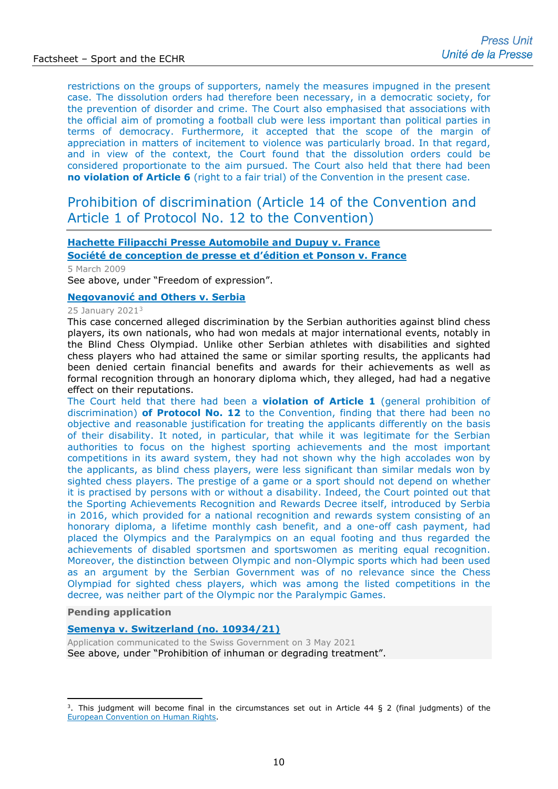restrictions on the groups of supporters, namely the measures impugned in the present case. The dissolution orders had therefore been necessary, in a democratic society, for the prevention of disorder and crime. The Court also emphasised that associations with the official aim of promoting a football club were less important than political parties in terms of democracy. Furthermore, it accepted that the scope of the margin of appreciation in matters of incitement to violence was particularly broad. In that regard, and in view of the context, the Court found that the dissolution orders could be considered proportionate to the aim pursued. The Court also held that there had been **no violation of Article 6** (right to a fair trial) of the Convention in the present case.

# Prohibition of discrimination (Article 14 of the Convention and Article 1 of Protocol No. 12 to the Convention)

# **[Hachette Filipacchi Presse Automobile and Dupuy v. France](http://hudoc.echr.coe.int/eng-press?i=003-2657405-2899610) [Société de conception de presse et d'édition et Ponson v. France](http://hudoc.echr.coe.int/eng-press?i=003-2657405-2899610)**

5 March 2009

See above, under "Freedom of expression".

# **Negovanović [and Others v. Serbia](https://hudoc.echr.coe.int/eng-press?i=003-7239759-9850842)**

#### 25 January 2021[3](#page-9-0)

This case concerned alleged discrimination by the Serbian authorities against blind chess players, its own nationals, who had won medals at major international events, notably in the Blind Chess Olympiad. Unlike other Serbian athletes with disabilities and sighted chess players who had attained the same or similar sporting results, the applicants had been denied certain financial benefits and awards for their achievements as well as formal recognition through an honorary diploma which, they alleged, had had a negative effect on their reputations.

The Court held that there had been a **violation of Article 1** (general prohibition of discrimination) **of Protocol No. 12** to the Convention, finding that there had been no objective and reasonable justification for treating the applicants differently on the basis of their disability. It noted, in particular, that while it was legitimate for the Serbian authorities to focus on the highest sporting achievements and the most important competitions in its award system, they had not shown why the high accolades won by the applicants, as blind chess players, were less significant than similar medals won by sighted chess players. The prestige of a game or a sport should not depend on whether it is practised by persons with or without a disability. Indeed, the Court pointed out that the Sporting Achievements Recognition and Rewards Decree itself, introduced by Serbia in 2016, which provided for a national recognition and rewards system consisting of an honorary diploma, a lifetime monthly cash benefit, and a one-off cash payment, had placed the Olympics and the Paralympics on an equal footing and thus regarded the achievements of disabled sportsmen and sportswomen as meriting equal recognition. Moreover, the distinction between Olympic and non-Olympic sports which had been used as an argument by the Serbian Government was of no relevance since the Chess Olympiad for sighted chess players, which was among the listed competitions in the decree, was neither part of the Olympic nor the Paralympic Games.

#### **Pending application**

# **[Semenya v. Switzerland \(no. 10934/21\)](http://hudoc.echr.coe.int/eng?i=003-7021287-9471834)**

Application communicated to the Swiss Government on 3 May 2021 See above, under "Prohibition of inhuman or degrading treatment".

<span id="page-9-0"></span> $3.$  This judgment will become final in the circumstances set out in Article 44 § 2 (final judgments) of the [European Convention on Human Rights.](http://www.echr.coe.int/Documents/Convention_ENG.pdf)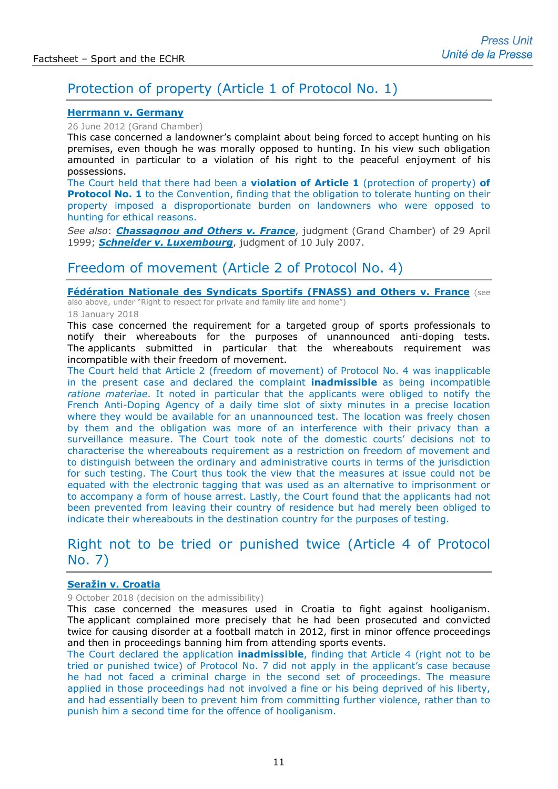# Protection of property (Article 1 of Protocol No. 1)

# **[Herrmann v. Germany](http://hudoc.echr.coe.int/eng?i=003-4000172-4656485)**

26 June 2012 (Grand Chamber)

This case concerned a landowner's complaint about being forced to accept hunting on his premises, even though he was morally opposed to hunting. In his view such obligation amounted in particular to a violation of his right to the peaceful enjoyment of his possessions.

The Court held that there had been a **violation of Article 1** (protection of property) **of Protocol No. 1** to the Convention, finding that the obligation to tolerate hunting on their property imposed a disproportionate burden on landowners who were opposed to hunting for ethical reasons.

*See also*: *[Chassagnou and Others v. France](http://hudoc.echr.coe.int/eng-press?i=003-68426-68894)*, judgment (Grand Chamber) of 29 April 1999; *[Schneider v. Luxembourg](http://hudoc.echr.coe.int/eng?i=001-81507)*, judgment of 10 July 2007.

# Freedom of movement (Article 2 of Protocol No. 4)

**[Fédération Nationale des Syndicats Sportifs \(FNASS\) and Others v. France](http://hudoc.echr.coe.int/eng-press?i=003-5977677-7646084)** (see also above, under "Right to respect for private and family life and home")

#### 18 January 2018

This case concerned the requirement for a targeted group of sports professionals to notify their whereabouts for the purposes of unannounced anti-doping tests. The applicants submitted in particular that the whereabouts requirement was incompatible with their freedom of movement.

The Court held that Article 2 (freedom of movement) of Protocol No. 4 was inapplicable in the present case and declared the complaint **inadmissible** as being incompatible *ratione materiae*. It noted in particular that the applicants were obliged to notify the French Anti-Doping Agency of a daily time slot of sixty minutes in a precise location where they would be available for an unannounced test. The location was freely chosen by them and the obligation was more of an interference with their privacy than a surveillance measure. The Court took note of the domestic courts' decisions not to characterise the whereabouts requirement as a restriction on freedom of movement and to distinguish between the ordinary and administrative courts in terms of the jurisdiction for such testing. The Court thus took the view that the measures at issue could not be equated with the electronic tagging that was used as an alternative to imprisonment or to accompany a form of house arrest. Lastly, the Court found that the applicants had not been prevented from leaving their country of residence but had merely been obliged to indicate their whereabouts in the destination country for the purposes of testing.

# Right not to be tried or punished twice (Article 4 of Protocol No. 7)

# **[Seražin v. Croatia](http://hudoc.echr.coe.int/eng-press?i=003-6244411-8122824)**

9 October 2018 (decision on the admissibility)

This case concerned the measures used in Croatia to fight against hooliganism. The applicant complained more precisely that he had been prosecuted and convicted twice for causing disorder at a football match in 2012, first in minor offence proceedings and then in proceedings banning him from attending sports events.

The Court declared the application **inadmissible**, finding that Article 4 (right not to be tried or punished twice) of Protocol No. 7 did not apply in the applicant's case because he had not faced a criminal charge in the second set of proceedings. The measure applied in those proceedings had not involved a fine or his being deprived of his liberty, and had essentially been to prevent him from committing further violence, rather than to punish him a second time for the offence of hooliganism.